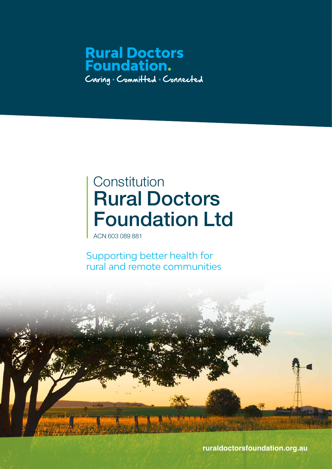## **Rural Doctors<br>Foundation.** Caring . Committed . Connected

## Rural Doctors Foundation Ltd **Constitution**

ACN 603 089 881

Supporting better health for rural and remote communities



**ruraldoctorsfoundation.org.au**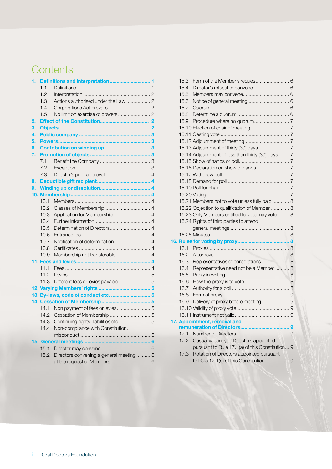### **Contents**

| 1. |      |                                          |  |
|----|------|------------------------------------------|--|
|    | 1.1  |                                          |  |
|    | 1.2  |                                          |  |
|    | 1.3  | Actions authorised under the Law  2      |  |
|    | 1.4  |                                          |  |
|    | 1.5  |                                          |  |
| 2. |      |                                          |  |
| 3. |      |                                          |  |
| 4. |      |                                          |  |
| 5. |      |                                          |  |
| 6. |      |                                          |  |
| 7. |      |                                          |  |
|    | 7.1  |                                          |  |
|    | 7.2  |                                          |  |
|    | 7.3  |                                          |  |
| 8. |      |                                          |  |
| 9. |      |                                          |  |
|    |      |                                          |  |
|    | 10.1 |                                          |  |
|    | 10.2 |                                          |  |
|    | 10.3 | Application for Membership  4            |  |
|    | 10.4 |                                          |  |
|    | 10.5 |                                          |  |
|    | 10.6 |                                          |  |
|    | 10.7 |                                          |  |
|    | 10.8 |                                          |  |
|    | 10.9 | Membership not transferable 4            |  |
|    |      |                                          |  |
|    | 11.1 |                                          |  |
|    | 11.2 |                                          |  |
|    | 11.3 |                                          |  |
|    |      |                                          |  |
|    |      | 13. By-laws, code of conduct etc.  5     |  |
|    |      |                                          |  |
|    | 14.1 |                                          |  |
|    | 14.2 |                                          |  |
|    | 14.3 | Continuing rights, liabilities etc 5     |  |
|    | 14.4 | Non-compliance with Constitution,        |  |
|    |      |                                          |  |
|    |      |                                          |  |
|    | 15.1 |                                          |  |
|    | 15.2 | Directors convening a general meeting  6 |  |
|    |      |                                          |  |

| 15.3 |                                                   |  |
|------|---------------------------------------------------|--|
| 15.4 | Director's refusal to convene  6                  |  |
| 15.5 |                                                   |  |
| 15.6 |                                                   |  |
| 15.7 |                                                   |  |
| 15.8 |                                                   |  |
| 15.9 |                                                   |  |
|      |                                                   |  |
|      |                                                   |  |
|      |                                                   |  |
|      |                                                   |  |
|      | 15.14 Adjournment of less than thirty (30) days 7 |  |
|      |                                                   |  |
|      |                                                   |  |
|      |                                                   |  |
|      |                                                   |  |
|      |                                                   |  |
|      |                                                   |  |
|      | 15.21 Members not to vote unless fully paid 8     |  |
|      | 15.22 Objection to qualification of Member  8     |  |
|      | 15.23 Only Members entitled to vote may vote  8   |  |
|      | 15.24 Rights of third parties to attend           |  |
|      |                                                   |  |
|      |                                                   |  |
|      |                                                   |  |
| 16.1 |                                                   |  |
| 16.2 |                                                   |  |
| 16.3 | Representatives of corporations 8                 |  |
| 16.4 | Representative need not be a Member  8            |  |
| 16.5 |                                                   |  |
| 16.6 |                                                   |  |
| 16.7 |                                                   |  |
| 16.8 |                                                   |  |
| 16.9 | Delivery of proxy before meeting 9                |  |
|      |                                                   |  |
|      |                                                   |  |
|      | 17. Appointment, removal and                      |  |
|      |                                                   |  |
| 17.1 |                                                   |  |
| 17.2 | Casual vacancy of Directors appointed             |  |
|      | pursuant to Rule 17.1(a) of this Constitution 9   |  |
| 17.3 | Rotation of Directors appointed pursuant          |  |
|      | to Rule 17.1(a) of this Constitution  9           |  |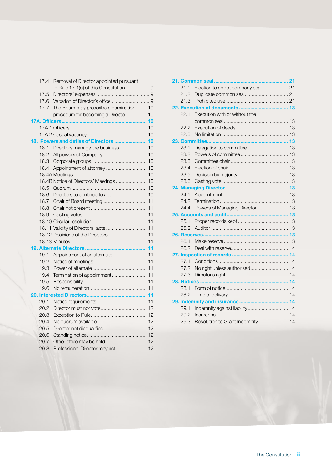|     | 17.4 | Removal of Director appointed pursuant  |  |
|-----|------|-----------------------------------------|--|
|     |      | to Rule 17.1(a) of this Constitution  9 |  |
|     | 17.5 |                                         |  |
|     | 17.6 |                                         |  |
|     | 17.7 | The Board may prescribe a nomination 10 |  |
|     |      | procedure for becoming a Director  10   |  |
|     |      |                                         |  |
|     |      |                                         |  |
|     |      |                                         |  |
| 18. |      | Powers and duties of Directors  10      |  |
|     | 18.1 | Directors manage the business  10       |  |
|     | 18.2 |                                         |  |
|     | 18.3 |                                         |  |
|     | 18.4 |                                         |  |
|     |      |                                         |  |
|     |      | 18.4B Notice of Directors' Meetings  10 |  |
|     | 18.5 |                                         |  |
|     | 18.6 | Directors to continue to act  10        |  |
|     | 18.7 |                                         |  |
|     | 18.8 |                                         |  |
|     | 18.9 |                                         |  |
|     |      |                                         |  |
|     |      | 18.11 Validity of Directors' acts  11   |  |
|     |      | 18.12 Decisions of the Directors 11     |  |
|     |      |                                         |  |
|     |      |                                         |  |
|     | 19.1 | Appointment of an alternate  11         |  |
|     | 19.2 |                                         |  |
|     | 19.3 |                                         |  |
|     | 19.4 | Termination of appointment 11           |  |
|     | 19.5 |                                         |  |
|     | 19.6 |                                         |  |
|     |      |                                         |  |
|     | 20.1 |                                         |  |
|     | 20.2 |                                         |  |
|     | 20.3 |                                         |  |
|     | 20.4 |                                         |  |
|     | 20.5 |                                         |  |
|     | 20.6 |                                         |  |
|     | 20.7 | Other office may be held 12             |  |
|     | 20.8 | Professional Director may act 12        |  |
|     |      |                                         |  |

|      | 21. Common seal<br>21             |  |
|------|-----------------------------------|--|
| 21.1 | Election to adopt company seal 21 |  |
| 21.2 |                                   |  |
| 21.3 |                                   |  |
|      |                                   |  |
| 22.1 | Execution with or without the     |  |
|      |                                   |  |
| 22.2 |                                   |  |
| 22.3 |                                   |  |
|      | 23. Committee                     |  |
| 23.1 | Delegation to committee  13       |  |
| 23.2 |                                   |  |
| 23.3 |                                   |  |
| 23.4 |                                   |  |
| 23.5 |                                   |  |
| 23.6 |                                   |  |
|      |                                   |  |
| 24.1 |                                   |  |
| 24.2 |                                   |  |
| 24.4 | Powers of Managing Director  13   |  |
|      |                                   |  |
| 25.1 |                                   |  |
| 25.2 |                                   |  |
|      |                                   |  |
| 26.1 |                                   |  |
| 26.2 |                                   |  |
|      |                                   |  |
| 27.1 |                                   |  |
| 27.2 | No right unless authorised 14     |  |
| 27.3 |                                   |  |
|      |                                   |  |
| 28.1 |                                   |  |
| 28.2 |                                   |  |
|      |                                   |  |
| 29.1 | Indemnity against liability 14    |  |
| 29.2 |                                   |  |
| 29.3 | Resolution to Grant Indemnity  14 |  |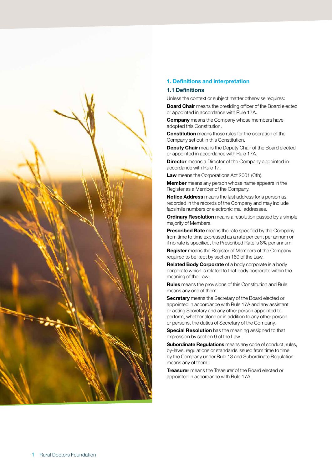

#### **1. Definitions and interpretation**

#### **1.1 Definitions**

Unless the context or subject matter otherwise requires:

**Board Chair** means the presiding officer of the Board elected or appointed in accordance with Rule 17A.

**Company** means the Company whose members have adopted this Constitution.

**Constitution** means those rules for the operation of the Company set out in this Constitution.

**Deputy Chair** means the Deputy Chair of the Board elected or appointed in accordance with Rule 17A.

**Director** means a Director of the Company appointed in accordance with Rule 17.

**Law** means the Corporations Act 2001 (Cth).

**Member** means any person whose name appears in the Register as a Member of the Company.

**Notice Address** means the last address for a person as recorded in the records of the Company and may include facsimile numbers or electronic mail addresses.

**Ordinary Resolution** means a resolution passed by a simple majority of Members.

**Prescribed Rate** means the rate specified by the Company from time to time expressed as a rate per cent per annum or if no rate is specified, the Prescribed Rate is 8% per annum.

**Register** means the Register of Members of the Company required to be kept by section 169 of the Law.

**Related Body Corporate** of a body corporate is a body corporate which is related to that body corporate within the meaning of the Law;.

**Rules** means the provisions of this Constitution and Rule means any one of them.

**Secretary** means the Secretary of the Board elected or appointed in accordance with Rule 17A and any assistant or acting Secretary and any other person appointed to perform, whether alone or in addition to any other person or persons, the duties of Secretary of the Company.

**Special Resolution** has the meaning assigned to that expression by section 9 of the Law.

**Subordinate Regulations** means any code of conduct, rules, by-laws, regulations or standards issued from time to time by the Company under Rule 13 and Subordinate Regulation means any of them;.

**Treasurer** means the Treasurer of the Board elected or appointed in accordance with Rule 17A.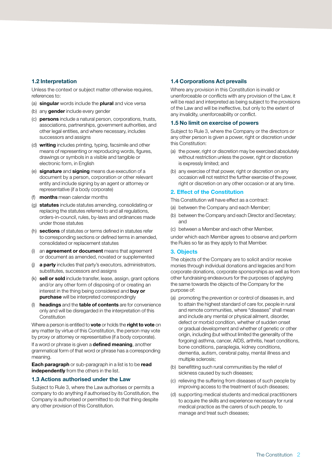#### **1.2 Interpretation**

Unless the context or subject matter otherwise requires, references to:

- (a) **singular** words include the **plural** and vice versa
- (b) any **gender** include every gender
- (c) **persons** include a natural person, corporations, trusts, associations, partnerships, government authorities, and other legal entities, and where necessary, includes successors and assigns
- (d) **writing** includes printing, typing, facsimile and other means of representing or reproducing words, figures, drawings or symbols in a visible and tangible or electronic form, in English
- (e) **signature** and **signing** means due execution of a document by a person, corporation or other relevant entity and include signing by an agent or attorney or representative (if a body corporate)
- (f) **months** mean calendar months
- (g) **statutes** include statutes amending, consolidating or replacing the statutes referred to and all regulations, orders-in-council, rules, by-laws and ordinances made under those statutes
- (h) **sections** of statutes or terms defined in statutes refer to corresponding sections or defined terms in amended, consolidated or replacement statutes
- (i) an **agreement or document** means that agreement or document as amended, novated or supplemented
- (j) **a party** includes that party's executors, administrators, substitutes, successors and assigns
- (k) **sell or sold** include transfer, lease, assign, grant options and/or any other form of disposing of or creating an interest in the thing being considered and **buy or purchase** will be interpreted correspondingly
- (l) **headings** and the **table of contents** are for convenience only and will be disregarded in the interpretation of this **Constitution**

Where a person is entitled to **vote** or holds the **right to vote** on any matter by virtue of this Constitution, the person may vote by proxy or attorney or representative (if a body corporate).

If a word or phrase is given a **defined meaning**, another grammatical form of that word or phrase has a corresponding meaning.

**Each paragraph** or sub-paragraph in a list is to be **read independently** from the others in the list.

#### **1.3 Actions authorised under the Law**

Subject to Rule 3, where the Law authorises or permits a company to do anything if authorised by its Constitution, the Company is authorised or permitted to do that thing despite any other provision of this Constitution.

#### **1.4 Corporations Act prevails**

Where any provision in this Constitution is invalid or unenforceable or conflicts with any provision of the Law, it will be read and interpreted as being subject to the provisions of the Law and will be ineffective, but only to the extent of any invalidity, unenforceability or conflict.

#### **1.5 No limit on exercise of powers**

Subject to Rule 3, where the Company or the directors or any other person is given a power, right or discretion under this Constitution:

- (a) the power, right or discretion may be exercised absolutely without restriction unless the power, right or discretion is expressly limited; and
- (b) any exercise of that power, right or discretion on any occasion will not restrict the further exercise of the power, right or discretion on any other occasion or at any time.

#### **2. Effect of the Constitution**

This Constitution will have effect as a contract:

- (a) between the Company and each Member;
- (b) between the Company and each Director and Secretary; and
- (c) between a Member and each other Member,

under which each Member agrees to observe and perform the Rules so far as they apply to that Member.

#### **3. Objects**

The objects of the Company are to solicit and/or receive monies through individual donations and legacies and from corporate donations, corporate sponsorships as well as from other fundraising endeavours for the purposes of applying the same towards the objects of the Company for the purpose of:

- (a) promoting the prevention or control of diseases in, and to attain the highest standard of care for, people in rural and remote communities, where "diseases" shall mean and include any mental or physical ailment, disorder, defect or morbid condition, whether of sudden onset or gradual development and whether of genetic or other origin, including (but without limited the generality of the forgoing) asthma, cancer, AIDS, arthritis, heart conditions, bone conditions, paraplegia, kidney conditions, dementia, autism, cerebral palsy, mental illness and multiple sclerosis;
- (b) benefitting such rural communities by the relief of sickness caused by such diseases;
- (c) relieving the suffering from diseases of such people by improving access to the treatment of such diseases;
- (d) supporting medical students and medical practitioners to acquire the skills and experience necessary for rural medical practice as the carers of such people, to manage and treat such diseases;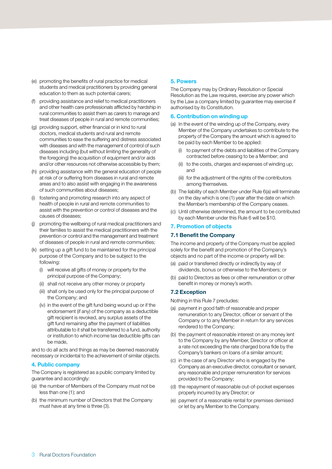- (e) promoting the benefits of rural practice for medical students and medical practitioners by providing general education to them as such potential carers;
- (f) providing assistance and relief to medical practitioners and other health care professionals afflicted by hardship in rural communities to assist them as carers to manage and treat diseases of people in rural and remote communities;
- (g) providing support, either financial or in kind to rural doctors, medical students and rural and remote communities to ease the suffering and distress associated with diseases and with the management of control of such diseases including (but without limiting the generality of the foregoing) the acquisition of equipment and/or aids and/or other resources not otherwise accessible by them;
- (h) providing assistance with the general education of people at risk of or suffering from diseases in rural and remote areas and to also assist with engaging in the awareness of such communities about diseases;
- (i) fostering and promoting research into any aspect of health of people in rural and remote communities to assist with the prevention or control of diseases and the causes of diseases;
- (j) promoting the wellbeing of rural medical practitioners and their families to assist the medical practitioners with the prevention or control and the management and treatment of diseases of people in rural and remote communities;
- (k) setting up a gift fund to be maintained for the principal purpose of the Company and to be subject to the following:
	- (i) will receive all gifts of money or property for the principal purpose of the Company;
	- (ii) shall not receive any other money or property
	- (iii) shall only be used only for the principal purpose of the Company; and
	- (iv) in the event of the gift fund being wound up or if the endorsement (if any) of the company as a deductible gift recipient is revoked, any surplus assets of the gift fund remaining after the payment of liabilities attributable to it shall be transferred to a fund, authority or institution to which income tax deductible gifts can be made,

and to do all acts and things as may be deemed reasonably necessary or incidental to the achievement of similar objects.

#### **4. Public company**

The Company is registered as a public company limited by guarantee and accordingly:

- (a) the number of Members of the Company must not be less than one (1); and
- (b) the minimum number of Directors that the Company must have at any time is three (3).

#### **5. Powers**

The Company may by Ordinary Resolution or Special Resolution as the Law requires, exercise any power which by the Law a company limited by guarantee may exercise if authorised by its Constitution.

#### **6. Contribution on winding up**

- (a) In the event of the winding up of the Company, every Member of the Company undertakes to contribute to the property of the Company the amount which is agreed to be paid by each Member to be applied:
	- (i) to payment of the debts and liabilities of the Company contracted before ceasing to be a Member; and
	- (ii) to the costs, charges and expenses of winding up; and
	- (iii) for the adjustment of the rights of the contributors among themselves.
- (b) The liability of each Member under Rule 6(a) will terminate on the day which is one (1) year after the date on which the Member's membership of the Company ceases.
- (c) Until otherwise determined, the amount to be contributed by each Member under this Rule 6 will be \$10.

#### **7. Promotion of objects**

#### **7.1 Benefit the Company**

The income and property of the Company must be applied solely for the benefit and promotion of the Company's objects and no part of the income or property will be:

- (a) paid or transferred directly or indirectly by way of dividends, bonus or otherwise to the Members; or
- (b) paid to Directors as fees or other remuneration or other benefit in money or money's worth.

#### **7.2 Exception**

Nothing in this Rule 7 precludes:

- (a) payment in good faith of reasonable and proper remuneration to any Director, officer or servant of the Company or to any Member in return for any services rendered to the Company;
- (b) the payment of reasonable interest on any money lent to the Company by any Member, Director or officer at a rate not exceeding the rate charged bona fide by the Company's bankers on loans of a similar amount;
- (c) in the case of any Director who is engaged by the Company as an executive director, consultant or servant, any reasonable and proper remuneration for services provided to the Company;
- (d) the repayment of reasonable out-of-pocket expenses properly incurred by any Director; or
- (e) payment of a reasonable rental for premises demised or let by any Member to the Company.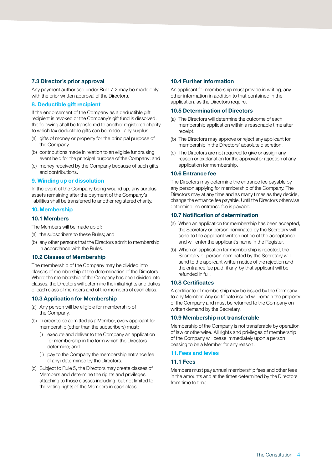#### **7.3 Director's prior approval**

Any payment authorised under Rule 7.2 may be made only with the prior written approval of the Directors.

#### **8. Deductible gift recipient**

If the endorsement of the Company as a deductible gift recipient is revoked or the Company's gift fund is dissolved, the following shall be transferred to another registered charity to which tax deductible gifts can be made - any surplus:

- (a) gifts of money or property for the principal purpose of the Company
- (b) contributions made in relation to an eligible fundraising event held for the principal purpose of the Company; and
- (c) money received by the Company because of such gifts and contributions.

#### **9. Winding up or dissolution**

In the event of the Company being wound up, any surplus assets remaining after the payment of the Company's liabilities shall be transferred to another registered charity.

#### **10.Membership**

#### **10.1 Members**

The Members will be made up of:

- (a) the subscribers to these Rules; and
- (b) any other persons that the Directors admit to membership in accordance with the Rules.

#### **10.2 Classes of Membership**

The membership of the Company may be divided into classes of membership at the determination of the Directors. Where the membership of the Company has been divided into classes, the Directors will determine the initial rights and duties of each class of members and of the members of each class.

#### **10.3 Application for Membership**

- (a) Any person will be eligible for membership of the Company.
- (b) In order to be admitted as a Member, every applicant for membership (other than the subscribers) must:
	- execute and deliver to the Company an application for membership in the form which the Directors determine; and
	- (ii) pay to the Company the membership entrance fee (if any) determined by the Directors.
- (c) Subject to Rule 5, the Directors may create classes of Members and determine the rights and privileges attaching to those classes including, but not limited to, the voting rights of the Members in each class.

#### **10.4 Further information**

An applicant for membership must provide in writing, any other information in addition to that contained in the application, as the Directors require.

#### **10.5 Determination of Directors**

- (a) The Directors will determine the outcome of each membership application within a reasonable time after receipt.
- (b) The Directors may approve or reject any applicant for membership in the Directors' absolute discretion.
- (c) The Directors are not required to give or assign any reason or explanation for the approval or rejection of any application for membership.

#### **10.6 Entrance fee**

The Directors may determine the entrance fee payable by any person applying for membership of the Company. The Directors may at any time and as many times as they decide, change the entrance fee payable. Until the Directors otherwise determine, no entrance fee is payable.

#### **10.7 Notification of determination**

- (a) When an application for membership has been accepted, the Secretary or person nominated by the Secretary will send to the applicant written notice of the acceptance and will enter the applicant's name in the Register.
- (b) When an application for membership is rejected, the Secretary or person nominated by the Secretary will send to the applicant written notice of the rejection and the entrance fee paid, if any, by that applicant will be refunded in full.

#### **10.8 Certificates**

A certificate of membership may be issued by the Company to any Member. Any certificate issued will remain the property of the Company and must be returned to the Company on written demand by the Secretary.

#### **10.9 Membership not transferable**

Membership of the Company is not transferable by operation of law or otherwise. All rights and privileges of membership of the Company will cease immediately upon a person ceasing to be a Member for any reason.

#### **11.Fees and levies**

#### **11.1 Fees**

Members must pay annual membership fees and other fees in the amounts and at the times determined by the Directors from time to time.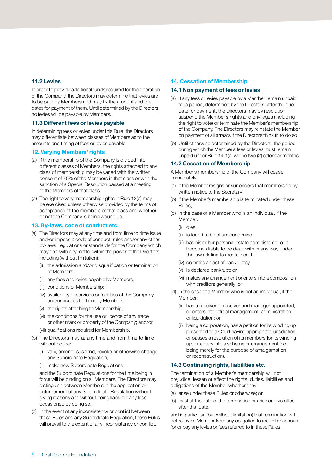#### **11.2 Levies**

In order to provide additional funds required for the operation of the Company, the Directors may determine that levies are to be paid by Members and may fix the amount and the dates for payment of them. Until determined by the Directors, no levies will be payable by Members.

#### **11.3 Different fees or levies payable**

In determining fees or levies under this Rule, the Directors may differentiate between classes of Members as to the amounts and timing of fees or levies payable.

#### **12. Varying Members' rights**

- (a) If the membership of the Company is divided into different classes of Members, the rights attached to any class of membership may be varied with the written consent of 75% of the Members in that class or with the sanction of a Special Resolution passed at a meeting of the Members of that class.
- (b) The right to vary membership rights in Rule 12(a) may be exercised unless otherwise provided by the terms of acceptance of the members of that class and whether or not the Company is being wound up.

#### **13. By-laws, code of conduct etc.**

- (a) The Directors may at any time and from time to time issue and/or impose a code of conduct, rules and/or any other by-laws, regulations or standards for the Company which may deal with any matter within the power of the Directors including (without limitation):
	- (i) the admission and/or disqualification or termination of Members;
	- (ii) any fees and levies payable by Members;
	- (iii) conditions of Membership;
	- (iv) availability of services or facilities of the Company and/or access to them by Members;
	- (v) the rights attaching to Membership;
	- (vi) the conditions for the use or licence of any trade or other mark or property of the Company; and/or
	- (vii) qualifications required for Membership.
- (b) The Directors may at any time and from time to time without notice:
	- (i) vary, amend, suspend, revoke or otherwise change any Subordinate Regulation;
	- (ii) make new Subordinate Regulations,

and the Subordinate Regulations for the time being in force will be binding on all Members. The Directors may distinguish between Members in the application or enforcement of any Subordinate Regulation without giving reasons and without being liable for any loss occasioned by doing so.

(c) In the event of any inconsistency or conflict between these Rules and any Subordinate Regulation, these Rules will prevail to the extent of any inconsistency or conflict.

#### **14. Cessation of Membership**

#### **14.1 Non payment of fees or levies**

- (a) If any fees or levies payable by a Member remain unpaid for a period, determined by the Directors, after the due date for payment, the Directors may by resolution suspend the Member's rights and privileges (including the right to vote) or terminate the Member's membership of the Company. The Directors may reinstate the Member on payment of all arrears if the Directors think fit to do so.
- (b) Until otherwise determined by the Directors, the period during which the Member's fees or levies must remain unpaid under Rule 14.1(a) will be two (2) calendar months.

#### **14.2 Cessation of Membership**

A Member's membership of the Company will cease immediately:

- (a) if the Member resigns or surrenders that membership by written notice to the Secretary;
- (b) if the Member's membership is terminated under these Rules;
- (c) in the case of a Member who is an individual, if the Member:
	- (i) dies;
	- (ii) is found to be of unsound mind;
	- (iii) has his or her personal estate administered, or it becomes liable to be dealt with in any way under the law relating to mental health
	- (iv) commits an act of bankruptcy
	- (v) is declared bankrupt; or
	- (vi) makes any arrangement or enters into a composition with creditors generally; or
- (d) in the case of a Member who is not an individual, if the Member:
	- (i) has a receiver or receiver and manager appointed, or enters into official management, administration or liquidation; or
	- (ii) being a corporation, has a petition for its winding up presented to a Court having appropriate jurisdiction, or passes a resolution of its members for its winding up, or enters into a scheme or arrangement (not being merely for the purpose of amalgamation or reconstruction).

#### **14.3 Continuing rights, liabilities etc.**

The termination of a Member's membership will not prejudice, lessen or affect the rights, duties, liabilities and obligations of the Member whether they:

- (a) arise under these Rules or otherwise; or
- (b) exist at the date of the termination or arise or crystallise after that date,

and in particular, (but without limitation) that termination will not relieve a Member from any obligation to record or account for or pay any levies or fees referred to in these Rules.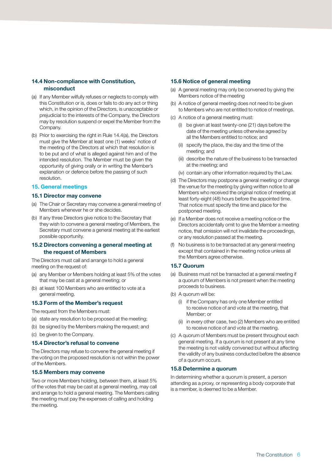#### **14.4 Non-compliance with Constitution, misconduct**

- (a) If any Member wilfully refuses or neglects to comply with this Constitution or is, does or fails to do any act or thing which, in the opinion of the Directors, is unacceptable or prejudicial to the interests of the Company, the Directors may by resolution suspend or expel the Member from the Company.
- (b) Prior to exercising the right in Rule 14.4(a), the Directors must give the Member at least one (1) weeks' notice of the meeting of the Directors at which that resolution is to be put and of what is alleged against him and of the intended resolution. The Member must be given the opportunity of giving orally or in writing the Member's explanation or defence before the passing of such resolution.

#### **15. General meetings**

#### **15.1 Director may convene**

- (a) The Chair or Secretary may convene a general meeting of Members whenever he or she decides.
- (b) If any three Directors give notice to the Secretary that they wish to convene a general meeting of Members, the Secretary must convene a general meeting at the earliest possible opportunity.

#### **15.2 Directors convening a general meeting at the request of Members**

The Directors must call and arrange to hold a general meeting on the request of:

- (a) any Member or Members holding at least 5% of the votes that may be cast at a general meeting; or
- (b) at least 100 Members who are entitled to vote at a general meeting.

#### **15.3 Form of the Member's request**

The request from the Members must:

- (a) state any resolution to be proposed at the meeting;
- (b) be signed by the Members making the request; and
- (c) be given to the Company.

#### **15.4 Director's refusal to convene**

The Directors may refuse to convene the general meeting if the voting on the proposed resolution is not within the power of the Members.

#### **15.5 Members may convene**

Two or more Members holding, between them, at least 5% of the votes that may be cast at a general meeting, may call and arrange to hold a general meeting. The Members calling the meeting must pay the expenses of calling and holding the meeting.

#### **15.6 Notice of general meeting**

- (a) A general meeting may only be convened by giving the Members notice of the meeting
- (b) A notice of general meeting does not need to be given to Members who are not entitled to notice of meetings.
- (c) A notice of a general meeting must:
	- (i) be given at least twenty-one (21) days before the date of the meeting unless otherwise agreed by all the Members entitled to notice; and
	- (ii) specify the place, the day and the time of the meeting; and
	- (iii) describe the nature of the business to be transacted at the meeting; and
	- (iv) contain any other information required by the Law.
- (d) The Directors may postpone a general meeting or change the venue for the meeting by giving written notice to all Members who received the original notice of meeting at least forty-eight (48) hours before the appointed time. That notice must specify the time and place for the postponed meeting.
- (e) If a Member does not receive a meeting notice or the Directors accidentally omit to give the Member a meeting notice, that omission will not invalidate the proceedings, or any resolution passed at the meeting.
- (f) No business is to be transacted at any general meeting except that contained in the meeting notice unless all the Members agree otherwise.

#### **15.7 Quorum**

- (a) Business must not be transacted at a general meeting if a quorum of Members is not present when the meeting proceeds to business.
- (b) A quorum will be:
	- (i) if the Company has only one Member entitled to receive notice of and vote at the meeting, that Member; or
	- (ii) in every other case, two (2) Members who are entitled to receive notice of and vote at the meeting.
- (c) A quorum of Members must be present throughout each general meeting. If a quorum is not present at any time the meeting is not validly convened but without affecting the validity of any business conducted before the absence of a quorum occurs.

#### **15.8 Determine a quorum**

In determining whether a quorum is present, a person attending as a proxy, or representing a body corporate that is a member, is deemed to be a Member.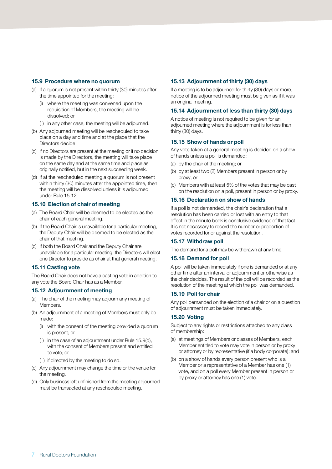#### **15.9 Procedure where no quorum**

- (a) If a quorum is not present within thirty (30) minutes after the time appointed for the meeting:
	- (i) where the meeting was convened upon the requisition of Members, the meeting will be dissolved; or
	- (ii) in any other case, the meeting will be adjourned.
- (b) Any adjourned meeting will be rescheduled to take place on a day and time and at the place that the Directors decide.
- (c) If no Directors are present at the meeting or if no decision is made by the Directors, the meeting will take place on the same day and at the same time and place as originally notified, but in the next succeeding week.
- (d) If at the rescheduled meeting a quorum is not present within thirty (30) minutes after the appointed time, then the meeting will be dissolved unless it is adjourned under Rule 15.12.

#### **15.10 Election of chair of meeting**

- (a) The Board Chair will be deemed to be elected as the chair of each general meeting.
- (b) If the Board Chair is unavailable for a particular meeting, the Deputy Chair will be deemed to be elected as the chair of that meeting.
- (c) If both the Board Chair and the Deputy Chair are unavailable for a particular meeting, the Directors will elect one Director to preside as chair at that general meeting.

#### **15.11 Casting vote**

The Board Chair does not have a casting vote in addition to any vote the Board Chair has as a Member.

#### **15.12 Adjournment of meeting**

- (a) The chair of the meeting may adjourn any meeting of Members.
- (b) An adjournment of a meeting of Members must only be made:
	- (i) with the consent of the meeting provided a quorum is present; or
	- (ii) in the case of an adjournment under Rule 15.9(d), with the consent of Members present and entitled to vote; or
	- (iii) if directed by the meeting to do so.
- (c) Any adjournment may change the time or the venue for the meeting.
- (d) Only business left unfinished from the meeting adjourned must be transacted at any rescheduled meeting.

#### **15.13 Adjournment of thirty (30) days**

If a meeting is to be adjourned for thirty (30) days or more, notice of the adjourned meeting must be given as if it was an original meeting.

#### **15.14 Adjournment of less than thirty (30) days**

A notice of meeting is not required to be given for an adjourned meeting where the adjournment is for less than thirty (30) days.

#### **15.15 Show of hands or poll**

Any vote taken at a general meeting is decided on a show of hands unless a poll is demanded:

- (a) by the chair of the meeting; or
- (b) by at least two (2) Members present in person or by proxy; or
- (c) Members with at least 5% of the votes that may be cast on the resolution on a poll, present in person or by proxy.

#### **15.16 Declaration on show of hands**

If a poll is not demanded, the chair's declaration that a resolution has been carried or lost with an entry to that effect in the minute book is conclusive evidence of that fact. It is not necessary to record the number or proportion of votes recorded for or against the resolution.

#### **15.17 Withdraw poll**

The demand for a poll may be withdrawn at any time.

#### **15.18 Demand for poll**

A poll will be taken immediately if one is demanded or at any other time after an interval or adjournment or otherwise as the chair decides. The result of the poll will be recorded as the resolution of the meeting at which the poll was demanded.

#### **15.19 Poll for chair**

Any poll demanded on the election of a chair or on a question of adjournment must be taken immediately.

#### **15.20 Voting**

Subject to any rights or restrictions attached to any class of membership:

- (a) at meetings of Members or classes of Members, each Member entitled to vote may vote in person or by proxy or attorney or by representative (if a body corporate); and
- (b) on a show of hands every person present who is a Member or a representative of a Member has one (1) vote, and on a poll every Member present in person or by proxy or attorney has one (1) vote.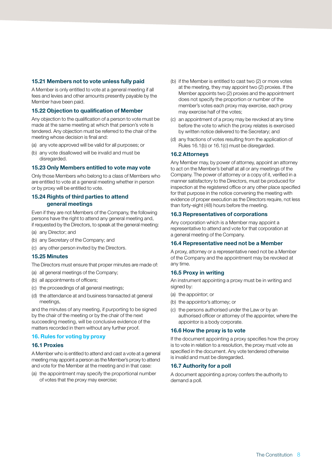#### **15.21 Members not to vote unless fully paid**

A Member is only entitled to vote at a general meeting if all fees and levies and other amounts presently payable by the Member have been paid.

#### **15.22 Objection to qualification of Member**

Any objection to the qualification of a person to vote must be made at the same meeting at which that person's vote is tendered. Any objection must be referred to the chair of the meeting whose decision is final and:

- (a) any vote approved will be valid for all purposes; or
- (b) any vote disallowed will be invalid and must be disregarded.

#### **15.23 Only Members entitled to vote may vote**

Only those Members who belong to a class of Members who are entitled to vote at a general meeting whether in person or by proxy will be entitled to vote.

#### **15.24 Rights of third parties to attend general meetings**

Even if they are not Members of the Company, the following persons have the right to attend any general meeting and, if requested by the Directors, to speak at the general meeting:

- (a) any Director; and
- (b) any Secretary of the Company; and
- (c) any other person invited by the Directors.

#### **15.25 Minutes**

The Directors must ensure that proper minutes are made of:

- (a) all general meetings of the Company;
- (b) all appointments of officers;
- (c) the proceedings of all general meetings;
- (d) the attendance at and business transacted at general meetings,

and the minutes of any meeting, if purporting to be signed by the chair of the meeting or by the chair of the next succeeding meeting, will be conclusive evidence of the matters recorded in them without any further proof.

#### **16. Rules for voting by proxy**

#### **16.1 Proxies**

A Member who is entitled to attend and cast a vote at a general meeting may appoint a person as the Member's proxy to attend and vote for the Member at the meeting and in that case:

(a) the appointment may specify the proportional number of votes that the proxy may exercise;

- (b) if the Member is entitled to cast two (2) or more votes at the meeting, they may appoint two (2) proxies. If the Member appoints two (2) proxies and the appointment does not specify the proportion or number of the member's votes each proxy may exercise, each proxy may exercise half of the votes;
- (c) an appointment of a proxy may be revoked at any time before the vote to which the proxy relates is exercised by written notice delivered to the Secretary; and
- (d) any fractions of votes resulting from the application of Rules 16.1(b) or 16.1(c) must be disregarded.

#### **16.2 Attorneys**

Any Member may, by power of attorney, appoint an attorney to act on the Member's behalf at all or any meetings of the Company. The power of attorney or a copy of it, verified in a manner satisfactory to the Directors, must be produced for inspection at the registered office or any other place specified for that purpose in the notice convening the meeting with evidence of proper execution as the Directors require, not less than forty-eight (48) hours before the meeting.

#### **16.3 Representatives of corporations**

Any corporation which is a Member may appoint a representative to attend and vote for that corporation at a general meeting of the Company.

#### **16.4 Representative need not be a Member**

A proxy, attorney or a representative need not be a Member of the Company and the appointment may be revoked at any time.

#### **16.5 Proxy in writing**

An instrument appointing a proxy must be in writing and signed by:

- (a) the appointor; or
- (b) the appointor's attorney; or
- (c) the persons authorised under the Law or by an authorised officer or attorney of the appointer, where the appointor is a body corporate.

#### **16.6 How the proxy is to vote**

If the document appointing a proxy specifies how the proxy is to vote in relation to a resolution, the proxy must vote as specified in the document. Any vote tendered otherwise is invalid and must be disregarded.

#### **16.7 Authority for a poll**

A document appointing a proxy confers the authority to demand a poll.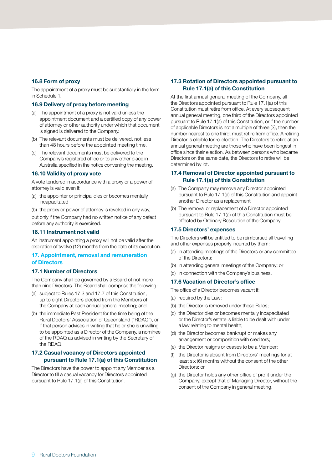#### **16.8 Form of proxy**

The appointment of a proxy must be substantially in the form in Schedule 1.

#### **16.9 Delivery of proxy before meeting**

- (a) The appointment of a proxy is not valid unless the appointment document and a certified copy of any power of attorney or other authority under which that document is signed is delivered to the Company.
- (b) The relevant documents must be delivered, not less than 48 hours before the appointed meeting time.
- (c) The relevant documents must be delivered to the Company's registered office or to any other place in Australia specified in the notice convening the meeting.

#### **16.10 Validity of proxy vote**

A vote tendered in accordance with a proxy or a power of attorney is valid even if:

- (a) the appointer or principal dies or becomes mentally incapacitated
- (b) the proxy or power of attorney is revoked in any way,

but only if the Company had no written notice of any defect before any authority is exercised.

#### **16.11 Instrument not valid**

An instrument appointing a proxy will not be valid after the expiration of twelve (12) months from the date of its execution.

#### **17. Appointment, removal and remuneration of Directors**

#### **17.1 Number of Directors**

The Company shall be governed by a Board of not more than nine Directors. The Board shall comprise the following:

- (a) subject to Rules 17.3 and 17.7 of this Constitution, up to eight Directors elected from the Members of the Company at each annual general meeting; and
- (b) the immediate Past President for the time being of the Rural Doctors' Association of Queensland ("RDAQ"), or if that person advises in writing that he or she is unwilling to be appointed as a Director of the Company, a nominee of the RDAQ as advised in writing by the Secretary of the RDAQ.

#### **17.2 Casual vacancy of Directors appointed pursuant to Rule 17.1(a) of this Constitution**

The Directors have the power to appoint any Member as a Director to fill a casual vacancy for Directors appointed pursuant to Rule 17.1(a) of this Constitution.

#### **17.3 Rotation of Directors appointed pursuant to Rule 17.1(a) of this Constitution**

At the first annual general meeting of the Company, all the Directors appointed pursuant to Rule 17.1(a) of this Constitution must retire from office. At every subsequent annual general meeting, one third of the Directors appointed pursuant to Rule 17.1(a) of this Constitution, or if the number of applicable Directors is not a multiple of three (3), then the number nearest to one third, must retire from office. A retiring Director is eligible for re-election. The Directors to retire at an annual general meeting are those who have been longest in office since their election. As between persons who became Directors on the same date, the Directors to retire will be determined by lot.

#### **17.4 Removal of Director appointed pursuant to Rule 17.1(a) of this Constitution**

- (a) The Company may remove any Director appointed pursuant to Rule 17.1(a) of this Constitution and appoint another Director as a replacement
- (b) The removal or replacement of a Director appointed pursuant to Rule 17.1(a) of this Constitution must be effected by Ordinary Resolution of the Company.

#### **17.5 Directors' expenses**

The Directors will be entitled to be reimbursed all travelling and other expenses properly incurred by them:

- (a) in attending meetings of the Directors or any committee of the Directors;
- (b) in attending general meetings of the Company; or
- (c) in connection with the Company's business.

#### **17.6 Vacation of Director's office**

The office of a Director becomes vacant if:

- (a) required by the Law;
- (b) the Director is removed under these Rules;
- (c) the Director dies or becomes mentally incapacitated or the Director's estate is liable to be dealt with under a law relating to mental health;
- (d) the Director becomes bankrupt or makes any arrangement or composition with creditors;
- (e) the Director resigns or ceases to be a Member;
- (f) the Director is absent from Directors' meetings for at least six (6) months without the consent of the other Directors; or
- (g) the Director holds any other office of profit under the Company, except that of Managing Director, without the consent of the Company in general meeting.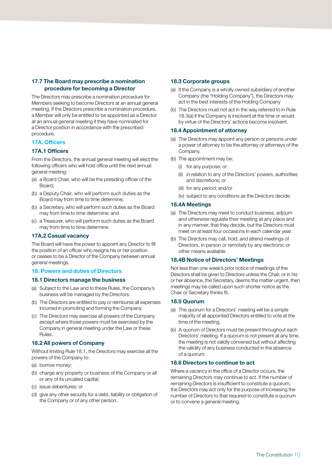#### **17.7 The Board may prescribe a nomination procedure for becoming a Director**

The Directors may prescribe a nomination procedure for Members seeking to become Directors at an annual general meeting. If the Directors prescribe a nomination procedure, a Member will only be entitled to be appointed as a Director at an annual general meeting if they have nominated for a Director position in accordance with the prescribed procedure.

#### **17A. Officers**

#### **17A.1 Officers**

From the Directors, the annual general meeting will elect the following officers who will hold office until the next annual general meeting:

- (a) a Board Chair, who will be the presiding officer of the Board;
- (b) a Deputy Chair, who will perform such duties as the Board may from time to time determine;
- (b) a Secretary, who will perform such duties as the Board may from time to time determine; and
- (c) a Treasurer, who will perform such duties as the Board may from time to time determine.

#### **17A.2 Casual vacancy**

The Board will have the power to appoint any Director to fill the position of an officer who resigns his or her position or ceases to be a Director of the Company between annual general meetings.

#### **18. Powers and duties of Directors**

#### **18.1 Directors manage the business**

- (a) Subject to the Law and to these Rules, the Company's business will be managed by the Directors.
- (b) The Directors are entitled to pay or reimburse all expenses incurred in promoting and forming the Company.
- (c) The Directors may exercise all powers of the Company except where those powers must be exercised by the Company in general meeting under the Law or these Rules.

#### **18.2 All powers of Company**

Without limiting Rule 18.1, the Directors may exercise all the powers of the Company to:

- (a) borrow money;
- (b) charge any property or business of the Company or all or any of its uncalled capital;
- (c) issue debentures; or
- (d) give any other security for a debt, liability or obligation of the Company or of any other person.

#### **18.3 Corporate groups**

- (a) If the Company is a wholly owned subsidiary of another Company (the "Holding Company"), the Directors may act in the best interests of the Holding Company
- (b) The Directors must not act in the way referred to in Rule 18.3(a) if the Company is insolvent at the time or would by virtue of the Directors' actions become insolvent.

#### **18.4 Appointment of attorney**

- (a) The Directors may appoint any person or persons under a power of attorney to be the attorney or attorneys of the Company.
- (b) The appointment may be:
	- (i) for any purpose; or
	- (ii) in relation to any of the Directors' powers, authorities and discretions; or
	- (iii) for any period; and/or
	- (iv) subject to any conditions as the Directors decide.

#### **18.4A Meetings**

- (a) The Directors may meet to conduct business, adjourn and otherwise regulate their meeting at any place and in any manner, that they decide, but the Directors must meet on at least four occasions in each calendar year.
- (b) The Directors may call, hold, and attend meetings of Directors, in person or remotely by any electronic or other means available.

#### **18.4B Notice of Directors' Meetings**

Not less than one week's prior notice of meetings of the Directors shall be given to Directors unless the Chair, or in his or her absence, the Secretary, deems the matter urgent, then meetings may be called upon such shorter notice as the Chair or Secretary thinks fit.

#### **18.5 Quorum**

- (a) The quorum for a Directors' meeting will be a simple majority of all appointed Directors entitled to vote at the time of the meeting.
- (b) A quorum of Directors must be present throughout each Directors' meeting. If a quorum is not present at any time, the meeting is not validly convened but without affecting the validity of any business conducted in the absence of a quorum.

#### **18.6 Directors to continue to act**

Where a vacancy in the office of a Director occurs, the remaining Directors may continue to act. If the number of remaining Directors is insufficient to constitute a quorum, the Directors may act only for the purpose of increasing the number of Directors to that required to constitute a quorum or to convene a general meeting.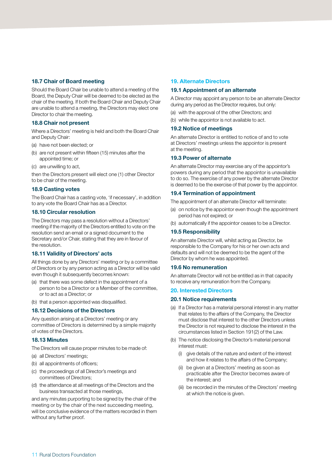#### **18.7 Chair of Board meeting**

Should the Board Chair be unable to attend a meeting of the Board, the Deputy Chair will be deemed to be elected as the chair of the meeting. If both the Board Chair and Deputy Chair are unable to attend a meeting, the Directors may elect one Director to chair the meeting.

#### **18.8 Chair not present**

Where a Directors' meeting is held and both the Board Chair and Deputy Chair:

- (a) have not been elected; or
- (b) are not present within fifteen (15) minutes after the appointed time; or
- (c) are unwilling to act,

then the Directors present will elect one (1) other Director to be chair of the meeting.

#### **18.9 Casting votes**

The Board Chair has a casting vote, 'if necessary', in addition to any vote the Board Chair has as a Director.

#### **18.10 Circular resolution**

The Directors may pass a resolution without a Directors' meeting if the majority of the Directors entitled to vote on the resolution send an email or a signed document to the Secretary and/or Chair, stating that they are in favour of the resolution.

#### **18.11 Validity of Directors' acts**

All things done by any Directors' meeting or by a committee of Directors or by any person acting as a Director will be valid even though it subsequently becomes known:

- (a) that there was some defect in the appointment of a person to be a Director or a Member of the committee, or to act as a Director; or
- (b) that a person appointed was disqualified.

#### **18.12 Decisions of the Directors**

Any question arising at a Directors' meeting or any committee of Directors is determined by a simple majority of votes of the Directors.

#### **18.13 Minutes**

The Directors will cause proper minutes to be made of:

- (a) all Directors' meetings;
- (b) all appointments of officers;
- (c) the proceedings of all Director's meetings and committees of Directors;
- (d) the attendance at all meetings of the Directors and the business transacted at those meetings,

and any minutes purporting to be signed by the chair of the meeting or by the chair of the next succeeding meeting, will be conclusive evidence of the matters recorded in them without any further proof.

#### **19. Alternate Directors**

#### **19.1 Appointment of an alternate**

A Director may appoint any person to be an alternate Director during any period as the Director requires, but only:

- (a) with the approval of the other Directors; and
- (b) while the appointor is not available to act.

#### **19.2 Notice of meetings**

An alternate Director is entitled to notice of and to vote at Directors' meetings unless the appointor is present at the meeting.

#### **19.3 Power of alternate**

An alternate Director may exercise any of the appointor's powers during any period that the appointor is unavailable to do so. The exercise of any power by the alternate Director is deemed to be the exercise of that power by the appointor.

#### **19.4 Termination of appointment**

The appointment of an alternate Director will terminate:

- (a) on notice by the appointor even though the appointment period has not expired; or
- (b) automatically if the appointor ceases to be a Director.

#### **19.5 Responsibility**

An alternate Director will, whilst acting as Director, be responsible to the Company for his or her own acts and defaults and will not be deemed to be the agent of the Director by whom he was appointed.

#### **19.6 No remuneration**

An alternate Director will not be entitled as in that capacity to receive any remuneration from the Company.

#### **20. Interested Directors**

#### **20.1 Notice requirements**

- (a) If a Director has a material personal interest in any matter that relates to the affairs of the Company, the Director must disclose that interest to the other Directors unless the Director is not required to disclose the interest in the circumstances listed in Section 191(2) of the Law.
- (b) The notice disclosing the Director's material personal interest must:
	- (i) give details of the nature and extent of the interest and how it relates to the affairs of the Company;
	- (ii) be given at a Directors' meeting as soon as practicable after the Director becomes aware of the interest; and
	- (iii) be recorded in the minutes of the Directors' meeting at which the notice is given.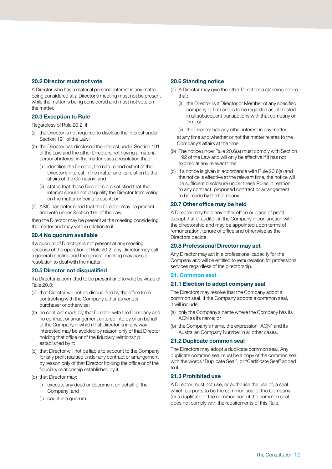#### **20.2 Director must not vote**

A Director who has a material personal interest in any matter being considered at a Director's meeting must not be present while the matter is being considered and must not vote on the matter.

#### **20.3 Exception to Rule**

Regardless of Rule 20.2, if:

- (a) the Director is not required to disclose the interest under Section 191 of the Law;
- (b) the Director has disclosed the interest under Section 191 of the Law and the other Directors not having a material personal interest in the matter pass a resolution that:
	- (i) identifies the Director, the nature and extent of the Director's interest in the matter and its relation to the affairs of the Company; and
	- (ii) states that those Directors are satisfied that the interest should not disqualify the Director from voting on the matter or being present; or
- (c) ASIC has determined that the Director may be present and vote under Section 196 of the Law,

then the Director may be present at the meeting considering the matter and may vote in relation to it.

#### **20.4 No quorum available**

If a quorum of Directors is not present at any meeting because of the operation of Rule 20.2, any Director may call a general meeting and the general meeting may pass a resolution to deal with the matter.

#### **20.5 Director not disqualified**

If a Director is permitted to be present and to vote by virtue of Rule 20.3:

- (a) that Director will not be disqualified by the office from contracting with the Company either as vendor, purchaser or otherwise;
- (b) no contract made by that Director with the Company and no contract or arrangement entered into by or on behalf of the Company in which that Director is in any way interested may be avoided by reason only of that Director holding that office or of the fiduciary relationship established by it;
- (c) that Director will not be liable to account to the Company for any profit realised under any contract or arrangement by reason only of that Director holding the office or of the fiduciary relationship established by it;
- (d) that Director may:
	- (i) execute any deed or document on behalf of the Company; and
	- (ii) count in a quorum.

#### **20.6 Standing notice**

- (a) A Director may give the other Directors a standing notice that:
	- (i) the Director is a Director or Member of any specified company or firm and is to be regarded as interested in all subsequent transactions with that company or firm; or
	- (ii) the Director has any other interest in any matter,

 at any time and whether or not the matter relates to the Company's affairs at the time.

- (b) The notice under Rule 20.6(a) must comply with Section 192 of the Law and will only be effective if it has not expired at any relevant time
- (c) If a notice is given in accordance with Rule 20.6(a) and the notice is effective at the relevant time, the notice will be sufficient disclosure under these Rules in relation to any contract, proposed contract or arrangement to be made by the Company.

#### **20.7 Other office may be held**

A Director may hold any other office or place of profit, except that of auditor, in the Company in conjunction with the directorship and may be appointed upon terms of remuneration, tenure of office and otherwise as the Directors decide.

#### **20.8 Professional Director may act**

Any Director may act in a professional capacity for the Company and will be entitled to remuneration for professional services regardless of the directorship.

#### **21. Common seal**

#### **21.1 Election to adopt company seal**

The Directors may resolve that the Company adopt a common seal. If the Company adopts a common seal, it will include:

- (a) only the Company's name where the Company has its ACN as its name; or
- (b) the Company's name, the expression "ACN" and its Australian Company Number in all other cases.

#### **21.2 Duplicate common seal**

The Directors may adopt a duplicate common seal. Any duplicate common seal must be a copy of the common seal with the words "Duplicate Seal", or "Certificate Seal" added to it.

#### **21.3 Prohibited use**

A Director must not use, or authorise the use of, a seal which purports to be the common seal of the Company (or a duplicate of the common seal) if the common seal does not comply with the requirements of this Rule.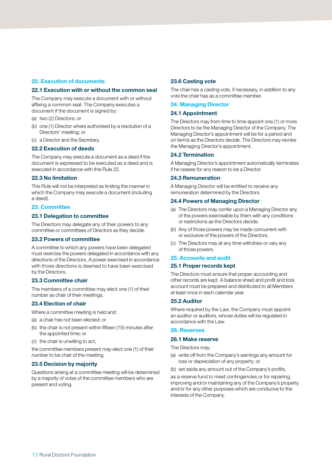#### **22. Execution of documents**

#### **22.1 Execution with or without the common seal**

The Company may execute a document with or without affixing a common seal. The Company executes a document if the document is signed by:

- (a) two (2) Directors; or
- (b) one (1) Director where authorised by a resolution of a Directors' meeting; or
- (c) a Director and the Secretary.

#### **22.2 Execution of deeds**

The Company may execute a document as a deed if the document is expressed to be executed as a deed and is executed in accordance with this Rule 22.

#### **22.3 No limitation**

This Rule will not be interpreted as limiting the manner in which the Company may execute a document (including a deed).

#### **23. Committee**

#### **23.1 Delegation to committee**

The Directors may delegate any of their powers to any committee or committees of Directors as they decide.

#### **23.2 Powers of committee**

A committee to which any powers have been delegated must exercise the powers delegated in accordance with any directions of the Directors. A power exercised in accordance with those directions is deemed to have been exercised by the Directors.

#### **23.3 Committee chair**

The members of a committee may elect one (1) of their number as chair of their meetings.

#### **23.4 Election of chair**

Where a committee meeting is held and:

- (a) a chair has not been elected; or
- (b) the chair is not present within fifteen (15) minutes after the appointed time; or
- (c) the chair is unwilling to act,

the committee members present may elect one (1) of their number to be chair of the meeting.

#### **23.5 Decision by majority**

Questions arising at a committee meeting will be determined by a majority of votes of the committee members who are present and voting.

#### **23.6 Casting vote**

The chair has a casting vote, if necessary, in addition to any vote the chair has as a committee member.

#### **24. Managing Director**

#### **24.1 Appointment**

The Directors may from time to time appoint one (1) or more Directors to be the Managing Director of the Company. The Managing Director's appointment will be for a period and on terms as the Directors decide. The Directors may revoke the Managing Director's appointment.

#### **24.2 Termination**

A Managing Director's appointment automatically terminates if he ceases for any reason to be a Director.

#### **24.3 Remuneration**

A Managing Director will be entitled to receive any remuneration determined by the Directors.

#### **24.4 Powers of Managing Director**

- (a) The Directors may confer upon a Managing Director any of the powers exercisable by them with any conditions or restrictions as the Directors decide.
- (b) Any of those powers may be made concurrent with or exclusive of the powers of the Directors.
- (c) The Directors may at any time withdraw or vary any of those powers.

#### **25. Accounts and audit**

#### **25.1 Proper records kept**

The Directors must ensure that proper accounting and other records are kept. A balance sheet and profit and loss account must be prepared and distributed to all Members at least once in each calendar year.

#### **25.2 Auditor**

Where required by the Law, the Company must appoint an auditor or auditors, whose duties will be regulated in accordance with the Law.

#### **26. Reserves**

#### **26.1 Make reserve**

The Directors may:

- (a) write off from the Company's earnings any amount for loss or depreciation of any property; or
- (b) set aside any amount out of the Company's profits,

as a reserve fund to meet contingencies or for repairing, improving and/or maintaining any of the Company's property and/or for any other purposes which are conducive to the interests of the Company.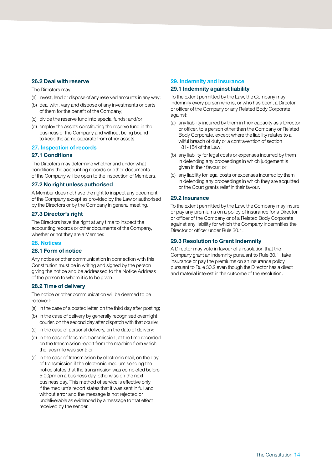#### **26.2 Deal with reserve**

The Directors may:

- (a) invest, lend or dispose of any reserved amounts in any way;
- (b) deal with, vary and dispose of any investments or parts of them for the benefit of the Company;
- (c) divide the reserve fund into special funds; and/or
- (d) employ the assets constituting the reserve fund in the business of the Company and without being bound to keep the same separate from other assets.

#### **27. Inspection of records**

#### **27.1 Conditions**

The Directors may determine whether and under what conditions the accounting records or other documents of the Company will be open to the inspection of Members.

#### **27.2 No right unless authorised**

A Member does not have the right to inspect any document of the Company except as provided by the Law or authorised by the Directors or by the Company in general meeting.

#### **27.3 Director's right**

The Directors have the right at any time to inspect the accounting records or other documents of the Company, whether or not they are a Member.

#### **28. Notices**

#### **28.1 Form of notice**

Any notice or other communication in connection with this Constitution must be in writing and signed by the person giving the notice and be addressed to the Notice Address of the person to whom it is to be given.

#### **28.2 Time of delivery**

The notice or other communication will be deemed to be received:

- (a) in the case of a posted letter, on the third day after posting;
- (b) in the case of delivery by generally recognised overnight courier, on the second day after dispatch with that courier;
- (c) in the case of personal delivery, on the date of delivery;
- (d) in the case of facsimile transmission, at the time recorded on the transmission report from the machine from which the facsimile was sent; or
- (e) in the case of transmission by electronic mail, on the day of transmission if the electronic medium sending the notice states that the transmission was completed before 5:00pm on a business day, otherwise on the next business day. This method of service is effective only if the medium's report states that it was sent in full and without error and the message is not rejected or undeliverable as evidenced by a message to that effect received by the sender.

#### **29. Indemnity and insurance**

#### **29.1 Indemnity against liability**

To the extent permitted by the Law, the Company may indemnify every person who is, or who has been, a Director or officer of the Company or any Related Body Corporate against:

- (a) any liability incurred by them in their capacity as a Director or officer, to a person other than the Company or Related Body Corporate, except where the liability relates to a wilful breach of duty or a contravention of section 181-184 of the Law;
- (b) any liability for legal costs or expenses incurred by them in defending any proceedings in which judgement is given in their favour; or
- (c) any liability for legal costs or expenses incurred by them in defending any proceedings in which they are acquitted or the Court grants relief in their favour.

#### **29.2 Insurance**

To the extent permitted by the Law, the Company may insure or pay any premiums on a policy of insurance for a Director or officer of the Company or of a Related Body Corporate against any liability for which the Company indemnifies the Director or officer under Rule 30.1.

#### **29.3 Resolution to Grant Indemnity**

A Director may vote in favour of a resolution that the Company grant an indemnity pursuant to Rule 30.1, take insurance or pay the premiums on an insurance policy pursuant to Rule 30.2 even though the Director has a direct and material interest in the outcome of the resolution.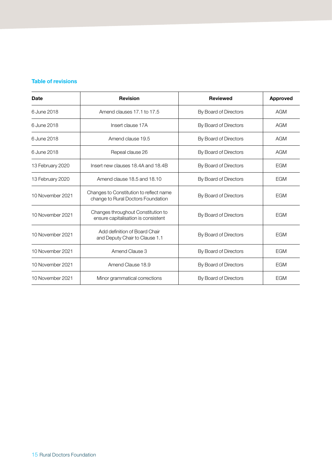#### **Table of revisions**

| Date             | <b>Revision</b>                                                               | <b>Reviewed</b>                     | <b>Approved</b> |
|------------------|-------------------------------------------------------------------------------|-------------------------------------|-----------------|
| 6 June 2018      | Amend clauses 17.1 to 17.5                                                    | By Board of Directors               | <b>AGM</b>      |
| 6 June 2018      | Insert clause 17A                                                             | By Board of Directors               | <b>AGM</b>      |
| 6 June 2018      | Amend clause 19.5                                                             | By Board of Directors               | <b>AGM</b>      |
| 6 June 2018      | Repeal clause 26                                                              | By Board of Directors               | <b>AGM</b>      |
| 13 February 2020 | Insert new clauses 18.4A and 18.4B                                            | By Board of Directors               | <b>EGM</b>      |
| 13 February 2020 | Amend clause 18.5 and 18.10<br>By Board of Directors                          |                                     | <b>EGM</b>      |
| 10 November 2021 | Changes to Constitution to reflect name<br>change to Rural Doctors Foundation | By Board of Directors               | <b>EGM</b>      |
| 10 November 2021 | Changes throughout Constitution to<br>ensure capitalisation is consistent     | By Board of Directors               | <b>EGM</b>      |
| 10 November 2021 | Add definition of Board Chair<br>and Deputy Chair to Clause 1.1               | By Board of Directors               | <b>EGM</b>      |
| 10 November 2021 | Amend Clause 3                                                                | By Board of Directors               | <b>EGM</b>      |
| 10 November 2021 | Amend Clause 18.9                                                             | <b>EGM</b><br>By Board of Directors |                 |
| 10 November 2021 | Minor grammatical corrections                                                 | By Board of Directors               | <b>EGM</b>      |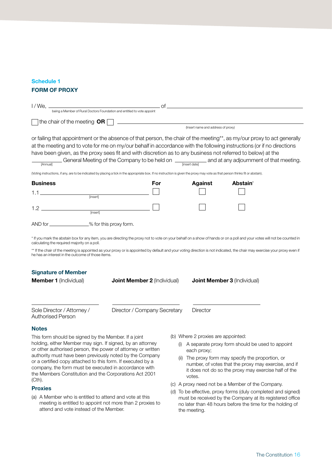#### **Schedule 1**

#### **FORM OF PROXY**

|                                                                                    |                                                                                                                                                                                                                                                                                                                                                                                                                                                                                                                                                                                                                                                                                      |                | $\circ$ of                         |  |
|------------------------------------------------------------------------------------|--------------------------------------------------------------------------------------------------------------------------------------------------------------------------------------------------------------------------------------------------------------------------------------------------------------------------------------------------------------------------------------------------------------------------------------------------------------------------------------------------------------------------------------------------------------------------------------------------------------------------------------------------------------------------------------|----------------|------------------------------------|--|
| I / We, when you a Member of Rural Doctors Foundation and entitled to vote appoint |                                                                                                                                                                                                                                                                                                                                                                                                                                                                                                                                                                                                                                                                                      |                |                                    |  |
|                                                                                    | the chair of the meeting $OR \Box$                                                                                                                                                                                                                                                                                                                                                                                                                                                                                                                                                                                                                                                   |                |                                    |  |
| (Insert name and address of proxy)                                                 |                                                                                                                                                                                                                                                                                                                                                                                                                                                                                                                                                                                                                                                                                      |                |                                    |  |
| [Annual]                                                                           | or failing that appointment or the absence of that person, the chair of the meeting**, as my/our proxy to act generally<br>at the meeting and to vote for me on my/our behalf in accordance with the following instructions (or if no directions<br>have been given, as the proxy sees fit and with discretion as to any business not referred to below) at the<br>General Meeting of the Company to be held on $\frac{1}{\frac{2}{\text{insert date}}}$ and at any adjournment of that meeting.<br>(Voting instructions, if any, are to be indicated by placing a tick in the appropriate box. If no instruction is given the proxy may vote as that person thinks fit or abstain). |                |                                    |  |
| <b>Business</b>                                                                    | For                                                                                                                                                                                                                                                                                                                                                                                                                                                                                                                                                                                                                                                                                  | <b>Against</b> | Abstain <sup>*</sup>               |  |
| $1.1$ [insert]                                                                     |                                                                                                                                                                                                                                                                                                                                                                                                                                                                                                                                                                                                                                                                                      |                |                                    |  |
| [insert]                                                                           |                                                                                                                                                                                                                                                                                                                                                                                                                                                                                                                                                                                                                                                                                      |                |                                    |  |
| AND for _______________% for this proxy form.                                      |                                                                                                                                                                                                                                                                                                                                                                                                                                                                                                                                                                                                                                                                                      |                |                                    |  |
| calculating the required majority on a poll.                                       | * If you mark the abstain box for any item, you are directing the proxy not to vote on your behalf on a show of hands or on a poll and your votes will not be counted in                                                                                                                                                                                                                                                                                                                                                                                                                                                                                                             |                |                                    |  |
| he has an interest in the outcome of those items.                                  | ** If the chair of the meeting is appointed as your proxy or is appointed by default and your voting direction is not indicated, the chair may exercise your proxy even if                                                                                                                                                                                                                                                                                                                                                                                                                                                                                                           |                |                                    |  |
| <b>Signature of Member</b>                                                         |                                                                                                                                                                                                                                                                                                                                                                                                                                                                                                                                                                                                                                                                                      |                |                                    |  |
| <b>Member 1</b> (Individual)                                                       | <b>Joint Member 2 (Individual)</b>                                                                                                                                                                                                                                                                                                                                                                                                                                                                                                                                                                                                                                                   |                | <b>Joint Member 3 (Individual)</b> |  |
|                                                                                    |                                                                                                                                                                                                                                                                                                                                                                                                                                                                                                                                                                                                                                                                                      |                |                                    |  |

Sole Director / Attorney / Director / Company Secretary Director Authorised Person

#### **Notes**

This form should be signed by the Member. If a joint holding, either Member may sign. If signed, by an attorney or other authorised person, the power of attorney or written authority must have been previously noted by the Company or a certified copy attached to this form. If executed by a company, the form must be executed in accordance with the Members Constitution and the Corporations Act 2001 (Cth).

#### **Proxies**

(a) A Member who is entitled to attend and vote at this meeting is entitled to appoint not more than 2 proxies to attend and vote instead of the Member.

(b) Where 2 proxies are appointed:

- (i) A separate proxy form should be used to appoint each proxy;
- (ii) The proxy form may specify the proportion, or number, of votes that the proxy may exercise, and if it does not do so the proxy may exercise half of the votes.
- (c) A proxy need not be a Member of the Company.
- (d) To be effective, proxy forms (duly completed and signed) must be received by the Company at its registered office no later than 48 hours before the time for the holding of the meeting.